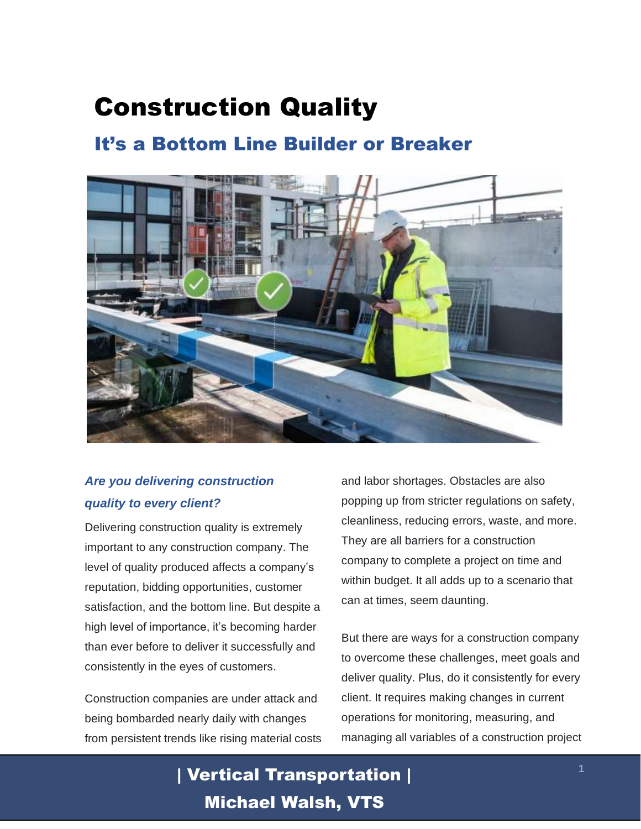# Construction Quality

### It's a Bottom Line Builder or Breaker



### *Are you delivering construction quality to every client?*

Delivering construction quality is extremely important to any construction company. The level of quality produced affects a company's reputation, bidding opportunities, customer satisfaction, and the bottom line. But despite a high level of importance, it's becoming harder than ever before to deliver it successfully and consistently in the eyes of customers.

Construction companies are under attack and being bombarded nearly daily with changes from persistent trends like rising material costs and labor shortages. Obstacles are also popping up from stricter regulations on safety, cleanliness, reducing errors, waste, and more. They are all barriers for a construction company to complete a project on time and within budget. It all adds up to a scenario that can at times, seem daunting.

But there are ways for a construction company to overcome these challenges, meet goals and deliver quality. Plus, do it consistently for every client. It requires making changes in current operations for monitoring, measuring, and managing all variables of a construction project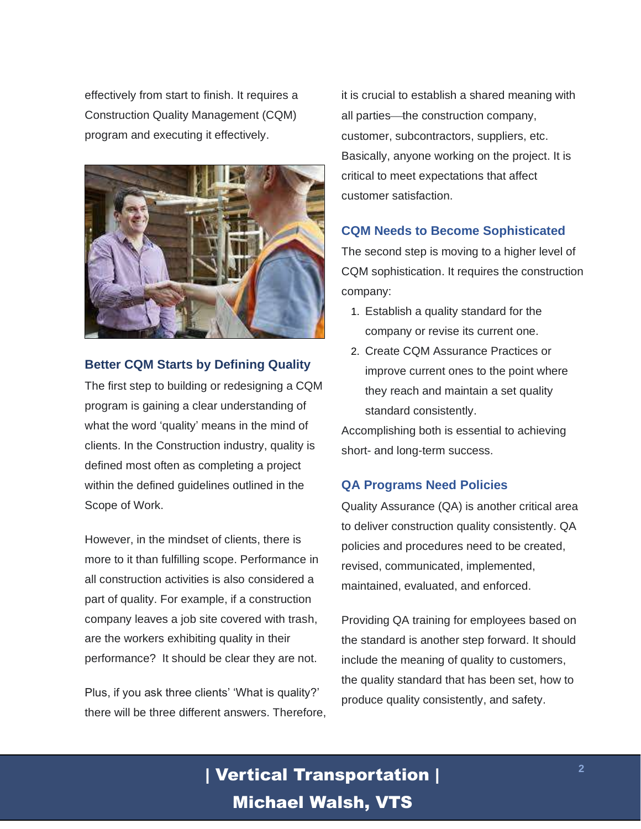effectively from start to finish. It requires a Construction Quality Management (CQM) program and executing it effectively.



### **Better CQM Starts by Defining Quality**

The first step to building or redesigning a CQM program is gaining a clear understanding of what the word 'quality' means in the mind of clients. In the Construction industry, quality is defined most often as completing a project within the defined guidelines outlined in the Scope of Work.

However, in the mindset of clients, there is more to it than fulfilling scope. Performance in all construction activities is also considered a part of quality. For example, if a construction company leaves a job site covered with trash, are the workers exhibiting quality in their performance? It should be clear they are not.

Plus, if you ask three clients' 'What is quality?' there will be three different answers. Therefore, it is crucial to establish a shared meaning with all parties—the construction company, customer, subcontractors, suppliers, etc. Basically, anyone working on the project. It is critical to meet expectations that affect customer satisfaction.

### **CQM Needs to Become Sophisticated**

The second step is moving to a higher level of CQM sophistication. It requires the construction company:

- 1. Establish a quality standard for the company or revise its current one.
- 2. Create CQM Assurance Practices or improve current ones to the point where they reach and maintain a set quality standard consistently.

Accomplishing both is essential to achieving short- and long-term success.

#### **QA Programs Need Policies**

Quality Assurance (QA) is another critical area to deliver construction quality consistently. QA policies and procedures need to be created, revised, communicated, implemented, maintained, evaluated, and enforced.

Providing QA training for employees based on the standard is another step forward. It should include the meaning of quality to customers, the quality standard that has been set, how to produce quality consistently, and safety.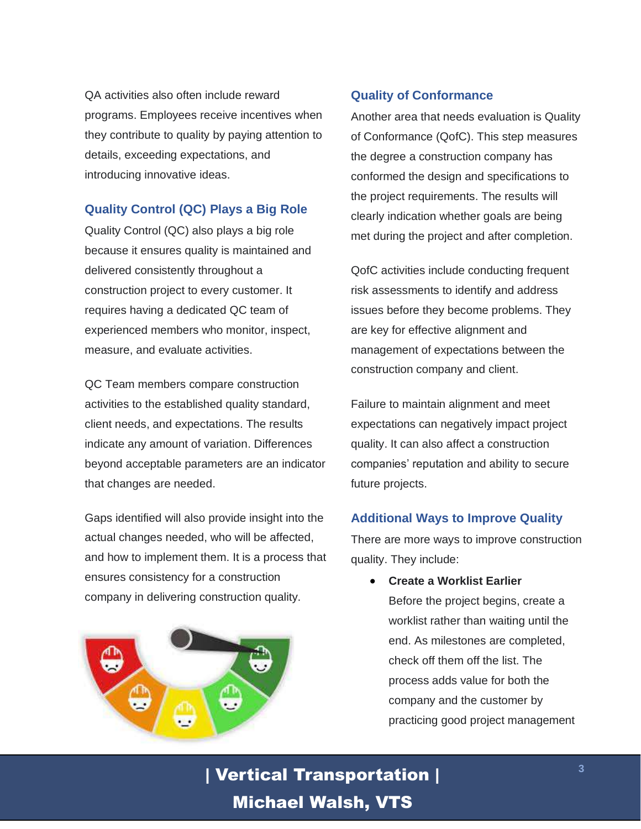QA activities also often include reward programs. Employees receive incentives when they contribute to quality by paying attention to details, exceeding expectations, and introducing innovative ideas.

### **Quality Control (QC) Plays a Big Role**

Quality Control (QC) also plays a big role because it ensures quality is maintained and delivered consistently throughout a construction project to every customer. It requires having a dedicated QC team of experienced members who monitor, inspect, measure, and evaluate activities.

QC Team members compare construction activities to the established quality standard, client needs, and expectations. The results indicate any amount of variation. Differences beyond acceptable parameters are an indicator that changes are needed.

Gaps identified will also provide insight into the actual changes needed, who will be affected, and how to implement them. It is a process that ensures consistency for a construction company in delivering construction quality.



### **Quality of Conformance**

Another area that needs evaluation is Quality of Conformance (QofC). This step measures the degree a construction company has conformed the design and specifications to the project requirements. The results will clearly indication whether goals are being met during the project and after completion.

QofC activities include conducting frequent risk assessments to identify and address issues before they become problems. They are key for effective alignment and management of expectations between the construction company and client.

Failure to maintain alignment and meet expectations can negatively impact project quality. It can also affect a construction companies' reputation and ability to secure future projects.

### **Additional Ways to Improve Quality**

There are more ways to improve construction quality. They include:

• **Create a Worklist Earlier** Before the project begins, create a worklist rather than waiting until the end. As milestones are completed, check off them off the list. The process adds value for both the company and the customer by practicing good project management